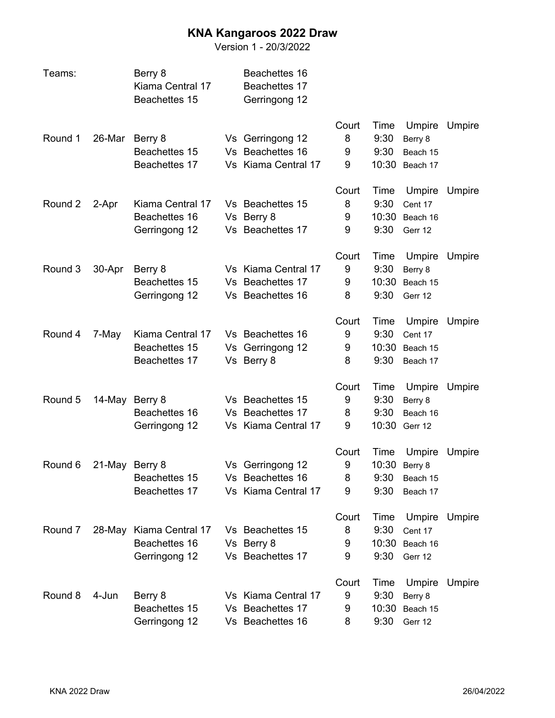## **KNA Kangaroos 2022 Draw**

Version 1 - 20/3/2022

| Teams:  |                | Berry 8<br>Kiama Central 17<br>Beachettes 15       | Beachettes 16<br>Beachettes 17<br>Gerringong 12             |                      |                               |                                                |        |
|---------|----------------|----------------------------------------------------|-------------------------------------------------------------|----------------------|-------------------------------|------------------------------------------------|--------|
| Round 1 | 26-Mar         | Berry 8<br>Beachettes 15<br>Beachettes 17          | Vs Gerringong 12<br>Vs Beachettes 16<br>Vs Kiama Central 17 | Court<br>8<br>9<br>9 | Time<br>9:30<br>9:30<br>10:30 | Umpire<br>Berry 8<br>Beach 15<br>Beach 17      | Umpire |
| Round 2 | 2-Apr          | Kiama Central 17<br>Beachettes 16<br>Gerringong 12 | Vs Beachettes 15<br>Vs Berry 8<br>Vs Beachettes 17          | Court<br>8<br>9<br>9 | Time<br>9:30<br>10:30<br>9:30 | Umpire<br>Cent 17<br>Beach 16<br>Gerr 12       | Umpire |
| Round 3 | 30-Apr         | Berry 8<br>Beachettes 15<br>Gerringong 12          | Vs Kiama Central 17<br>Vs Beachettes 17<br>Vs Beachettes 16 | Court<br>9<br>9<br>8 | Time<br>9:30<br>10:30<br>9:30 | Umpire<br>Berry 8<br>Beach 15<br>Gerr 12       | Umpire |
| Round 4 | 7-May          | Kiama Central 17<br>Beachettes 15<br>Beachettes 17 | Vs Beachettes 16<br>Vs Gerringong 12<br>Vs Berry 8          | Court<br>9<br>9<br>8 | Time<br>9:30<br>10:30<br>9:30 | Umpire<br>Cent 17<br>Beach 15<br>Beach 17      | Umpire |
| Round 5 | 14-May         | Berry 8<br>Beachettes 16<br>Gerringong 12          | Vs Beachettes 15<br>Vs Beachettes 17<br>Vs Kiama Central 17 | Court<br>9<br>8<br>9 | Time<br>9:30<br>9:30<br>10:30 | Umpire<br>Berry 8<br>Beach 16<br>Gerr 12       | Umpire |
| Round 6 | 21-May Berry 8 | Beachettes 15<br>Beachettes 17                     | Vs Gerringong 12<br>Vs Beachettes 16<br>Vs Kiama Central 17 | Court<br>9<br>8<br>9 | Time<br>10:30<br>9:30<br>9:30 | Umpire<br>Berry 8<br>Beach 15<br>Beach 17      | Umpire |
| Round 7 | 28-May         | Kiama Central 17<br>Beachettes 16<br>Gerringong 12 | Vs Beachettes 15<br>Vs Berry 8<br>Vs Beachettes 17          | Court<br>8<br>9<br>9 | Time<br>9:30<br>10:30<br>9:30 | Umpire<br>Cent 17<br>Beach 16<br>Gerr 12       | Umpire |
| Round 8 | 4-Jun          | Berry 8<br>Beachettes 15<br>Gerringong 12          | Vs Kiama Central 17<br>Vs Beachettes 17<br>Vs Beachettes 16 | Court<br>9<br>9<br>8 | Time<br>9:30<br>9:30          | Umpire<br>Berry 8<br>10:30 Beach 15<br>Gerr 12 | Umpire |